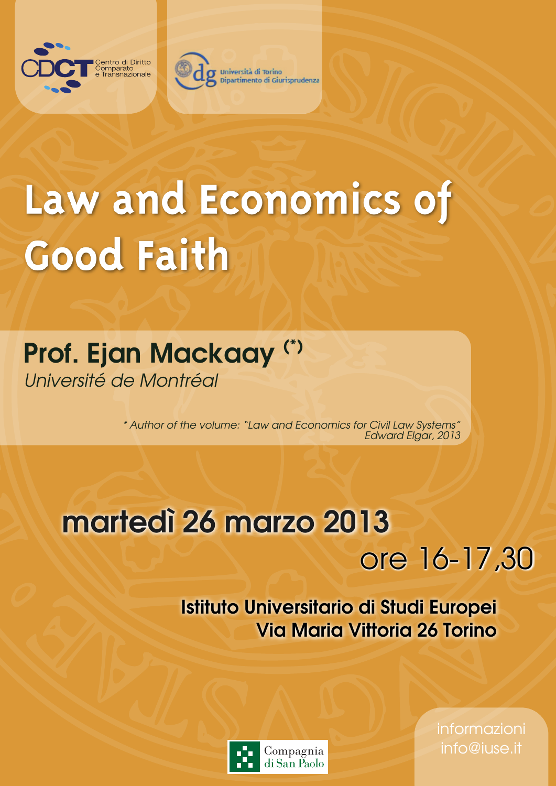



## Law and Economics of **Good Faith**

## Prof. Ejan Mackaay (\*) Université de Montréal

\* Author of the volume: "Law and Economics for Civil Law Systems" Edward Elgar, 2013

## martedì 26 marzo 2013

## ore 16-17,30

Istituto Universitario di Studi Europei Via Maria Vittoria 26 Torino



informazioni info@iuse.it